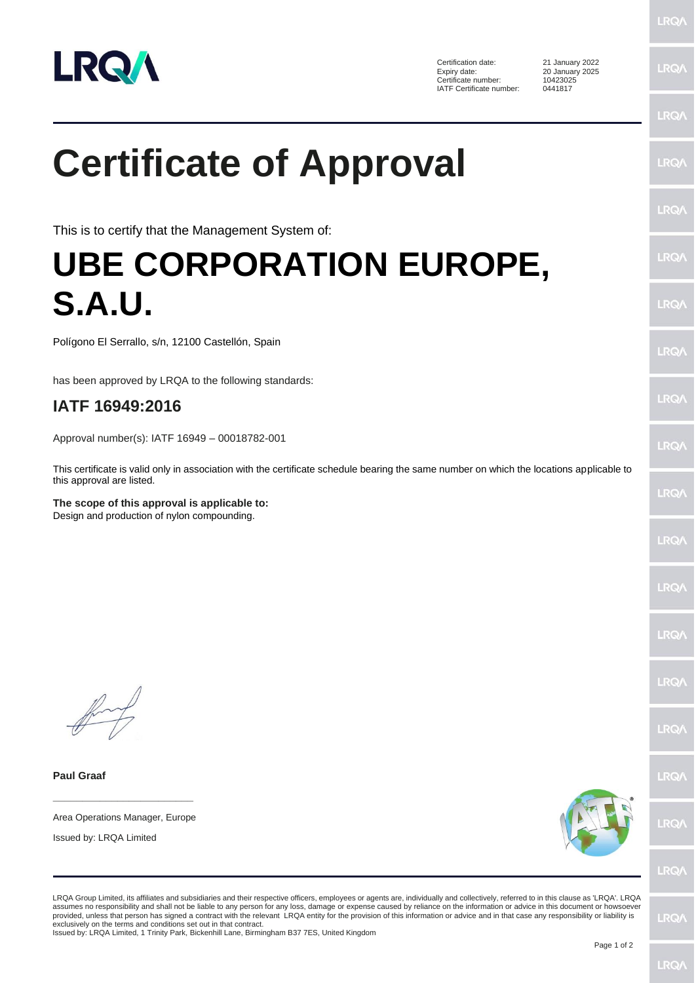

Certification date: 21 January 2022<br>Expiry date: 20 January 2025 Certificate number: IATF Certificate number: 0441817

20 January 2025<br>10423025

LRQ/ **LRO/** 

**LRQ/** 

LRQ/

**LRQ/** 

LRQ/

LRQ/

LRQ/

**LRQ/** 

**LRQ/** 

LRQ/

LRQ/

LRQ/

LRQ/

LRQ/

**LRO/** 

**LRQ/** 

**LRQ/** 

## **Certificate of Approval**

This is to certify that the Management System of:

## **UBE CORPORATION EUROPE, S.A.U.**

Polígono El Serrallo, s/n, 12100 Castellón, Spain

has been approved by LRQA to the following standards:

## **IATF 16949:2016**

Approval number(s): IATF 16949 – 00018782-001

This certificate is valid only in association with the certificate schedule bearing the same number on which the locations applicable to this approval are listed.

**The scope of this approval is applicable to:** Design and production of nylon compounding.

**Paul Graaf**

**\_\_\_\_\_\_\_\_\_\_\_\_\_\_\_\_\_\_\_\_\_\_\_\_** Area Operations Manager, Europe

Issued by: LRQA Limited



**LRQ/** 

LRQA Group Limited, its affiliates and subsidiaries and their respective officers, employees or agents are, individually and collectively, referred to in this clause as 'LRQA'. LRQA assumes no responsibility and shall not be liable to any person for any loss, damage or expense caused by reliance on the information or advice in this document or howsoever provided, unless that person has signed a contract with the relevant LRQA entity for the provision of this information or advice and in that case any responsibility or liability is<br>exclusively on the terms and conditions s

Issued by: LRQA Limited, 1 Trinity Park, Bickenhill Lane, Birmingham B37 7ES, United Kingdom

LRQ/